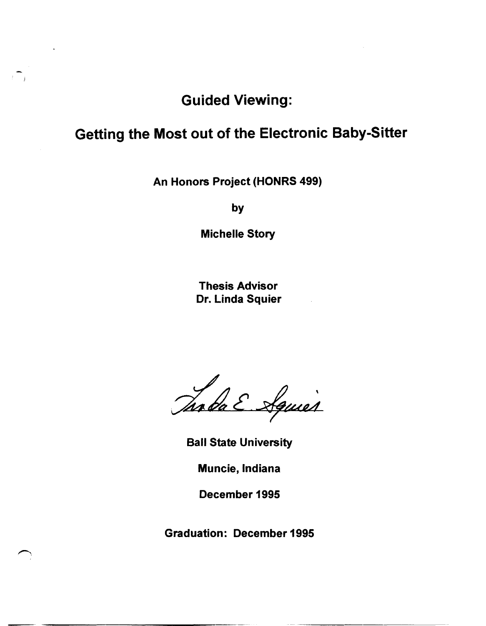## Guided Viewing:

 $\mathbb{R}^m$ 

## Getting the Most out of the Electronic Baby-Sitter

An Honors Project (HONRS 499)

by

Michelle Story

Thesis Advisor Dr. Linda Squier

Taoba E Aguier

Ball State University

Muncie, Indiana

December 1995

Graduation: December 1995